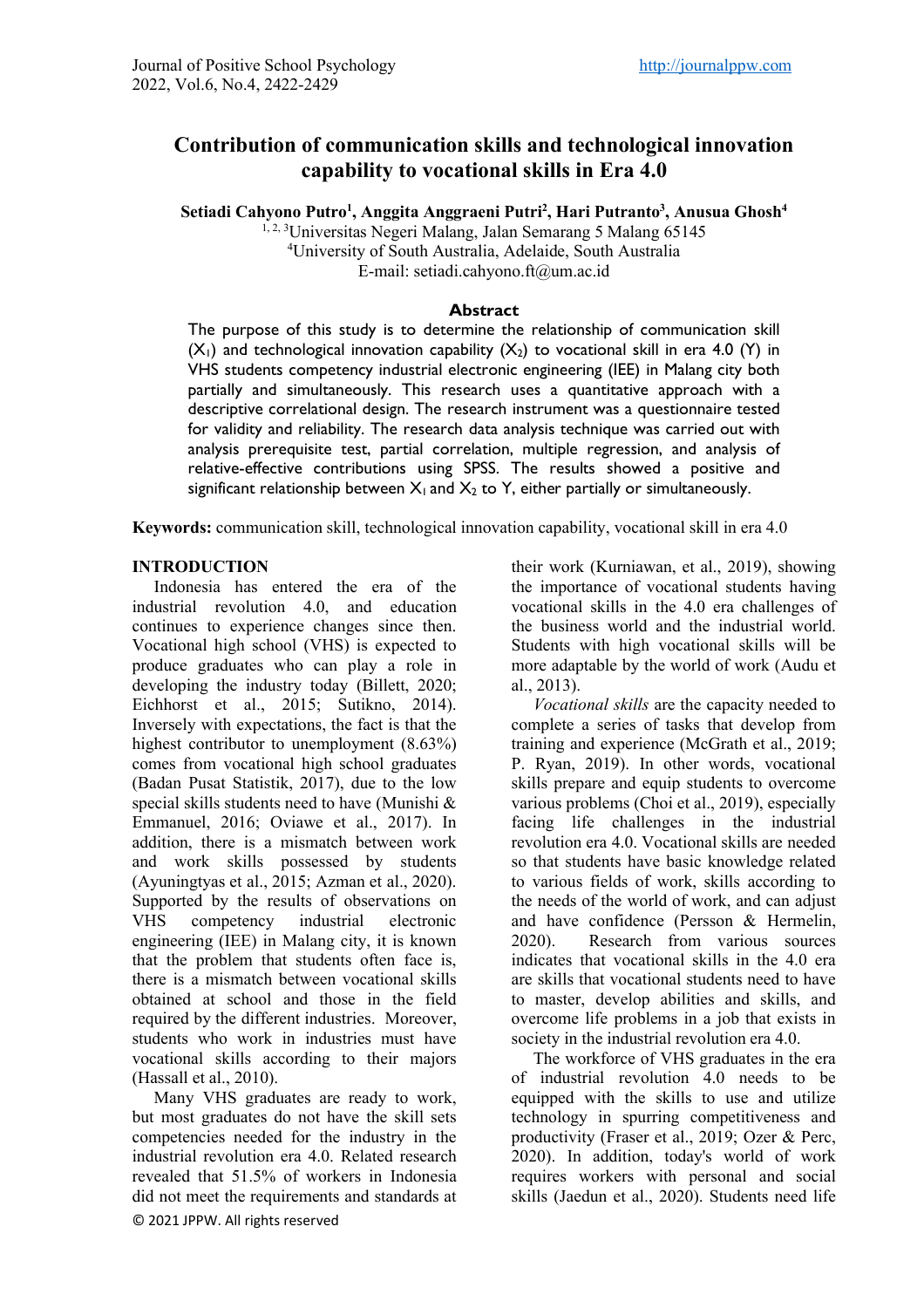# **Contribution of communication skills and technological innovation capability to vocational skills in Era 4.0**

**Setiadi Cahyono Putro1 , Anggita Anggraeni Putri2 , Hari Putranto3 , Anusua Ghosh4**

<sup>1, 2, 3</sup>Universitas Negeri Malang, Jalan Semarang 5 Malang 65145 4 University of South Australia, Adelaide, South Australia E-mail: setiadi.cahyono.ft@um.ac.id

#### **Abstract**

The purpose of this study is to determine the relationship of communication skill  $(X_1)$  and technological innovation capability  $(X_2)$  to vocational skill in era 4.0 (Y) in VHS students competency industrial electronic engineering (IEE) in Malang city both partially and simultaneously. This research uses a quantitative approach with a descriptive correlational design. The research instrument was a questionnaire tested for validity and reliability. The research data analysis technique was carried out with analysis prerequisite test, partial correlation, multiple regression, and analysis of relative-effective contributions using SPSS. The results showed a positive and significant relationship between  $X_1$  and  $X_2$  to Y, either partially or simultaneously.

**Keywords:** communication skill, technological innovation capability, vocational skill in era 4.0

#### **INTRODUCTION**

Indonesia has entered the era of the industrial revolution 4.0, and education continues to experience changes since then. Vocational high school (VHS) is expected to produce graduates who can play a role in developing the industry today (Billett, 2020; Eichhorst et al., 2015; Sutikno, 2014). Inversely with expectations, the fact is that the highest contributor to unemployment (8.63%) comes from vocational high school graduates (Badan Pusat Statistik, 2017), due to the low special skills students need to have (Munishi & Emmanuel, 2016; Oviawe et al., 2017). In addition, there is a mismatch between work and work skills possessed by students (Ayuningtyas et al., 2015; Azman et al., 2020). Supported by the results of observations on VHS competency industrial electronic engineering (IEE) in Malang city, it is known that the problem that students often face is, there is a mismatch between vocational skills obtained at school and those in the field required by the different industries. Moreover, students who work in industries must have vocational skills according to their majors (Hassall et al., 2010).

© 2021 JPPW. All rights reserved Many VHS graduates are ready to work, but most graduates do not have the skill sets competencies needed for the industry in the industrial revolution era 4.0. Related research revealed that 51.5% of workers in Indonesia did not meet the requirements and standards at

their work (Kurniawan, et al., 2019), showing the importance of vocational students having vocational skills in the 4.0 era challenges of the business world and the industrial world. Students with high vocational skills will be more adaptable by the world of work (Audu et al., 2013).

*Vocational skills* are the capacity needed to complete a series of tasks that develop from training and experience (McGrath et al., 2019; P. Ryan, 2019). In other words, vocational skills prepare and equip students to overcome various problems (Choi et al., 2019), especially facing life challenges in the industrial revolution era 4.0. Vocational skills are needed so that students have basic knowledge related to various fields of work, skills according to the needs of the world of work, and can adjust and have confidence (Persson & Hermelin, 2020). Research from various sources indicates that vocational skills in the 4.0 era are skills that vocational students need to have to master, develop abilities and skills, and overcome life problems in a job that exists in society in the industrial revolution era 4.0.

The workforce of VHS graduates in the era of industrial revolution 4.0 needs to be equipped with the skills to use and utilize technology in spurring competitiveness and productivity (Fraser et al., 2019; Ozer & Perc, 2020). In addition, today's world of work requires workers with personal and social skills (Jaedun et al., 2020). Students need life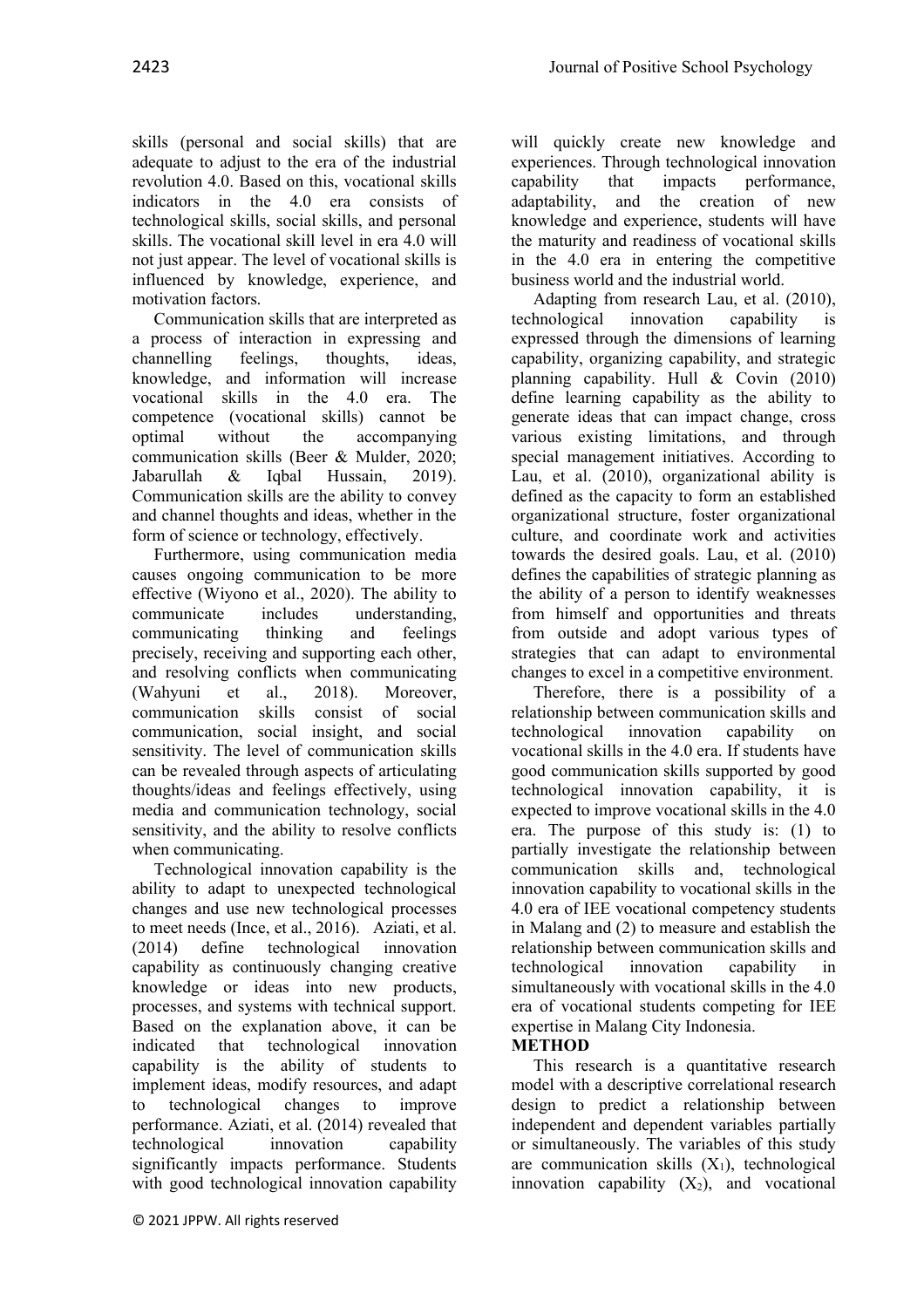skills (personal and social skills) that are adequate to adjust to the era of the industrial revolution 4.0. Based on this, vocational skills indicators in the 4.0 era consists of technological skills, social skills, and personal skills. The vocational skill level in era 4.0 will not just appear. The level of vocational skills is influenced by knowledge, experience, and motivation factors.

Communication skills that are interpreted as a process of interaction in expressing and channelling feelings, thoughts, ideas, knowledge, and information will increase vocational skills in the 4.0 era. The competence (vocational skills) cannot be optimal without the accompanying communication skills (Beer & Mulder, 2020; Jabarullah & Iqbal Hussain, 2019). Communication skills are the ability to convey and channel thoughts and ideas, whether in the form of science or technology, effectively.

Furthermore, using communication media causes ongoing communication to be more effective (Wiyono et al., 2020). The ability to communicate includes understanding, communicating thinking and feelings precisely, receiving and supporting each other, and resolving conflicts when communicating (Wahyuni et al., 2018). Moreover, communication skills consist of social communication, social insight, and social sensitivity. The level of communication skills can be revealed through aspects of articulating thoughts/ideas and feelings effectively, using media and communication technology, social sensitivity, and the ability to resolve conflicts when communicating.

Technological innovation capability is the ability to adapt to unexpected technological changes and use new technological processes to meet needs (Ince, et al., 2016). Aziati, et al. (2014) define technological innovation capability as continuously changing creative knowledge or ideas into new products, processes, and systems with technical support. Based on the explanation above, it can be indicated that technological innovation capability is the ability of students to implement ideas, modify resources, and adapt to technological changes to improve performance. Aziati, et al. (2014) revealed that technological innovation capability significantly impacts performance. Students with good technological innovation capability will quickly create new knowledge and experiences. Through technological innovation capability that impacts performance, adaptability, and the creation of new knowledge and experience, students will have the maturity and readiness of vocational skills in the 4.0 era in entering the competitive business world and the industrial world.

Adapting from research Lau, et al. (2010), technological innovation capability is expressed through the dimensions of learning capability, organizing capability, and strategic planning capability. Hull & Covin (2010) define learning capability as the ability to generate ideas that can impact change, cross various existing limitations, and through special management initiatives. According to Lau, et al. (2010), organizational ability is defined as the capacity to form an established organizational structure, foster organizational culture, and coordinate work and activities towards the desired goals. Lau, et al. (2010) defines the capabilities of strategic planning as the ability of a person to identify weaknesses from himself and opportunities and threats from outside and adopt various types of strategies that can adapt to environmental changes to excel in a competitive environment.

Therefore, there is a possibility of a relationship between communication skills and technological innovation capability on vocational skills in the 4.0 era. If students have good communication skills supported by good technological innovation capability, it is expected to improve vocational skills in the 4.0 era. The purpose of this study is: (1) to partially investigate the relationship between communication skills and, technological innovation capability to vocational skills in the 4.0 era of IEE vocational competency students in Malang and (2) to measure and establish the relationship between communication skills and technological innovation capability in simultaneously with vocational skills in the 4.0 era of vocational students competing for IEE expertise in Malang City Indonesia.

**METHOD**

This research is a quantitative research model with a descriptive correlational research design to predict a relationship between independent and dependent variables partially or simultaneously. The variables of this study are communication skills  $(X_1)$ , technological innovation capability  $(X_2)$ , and vocational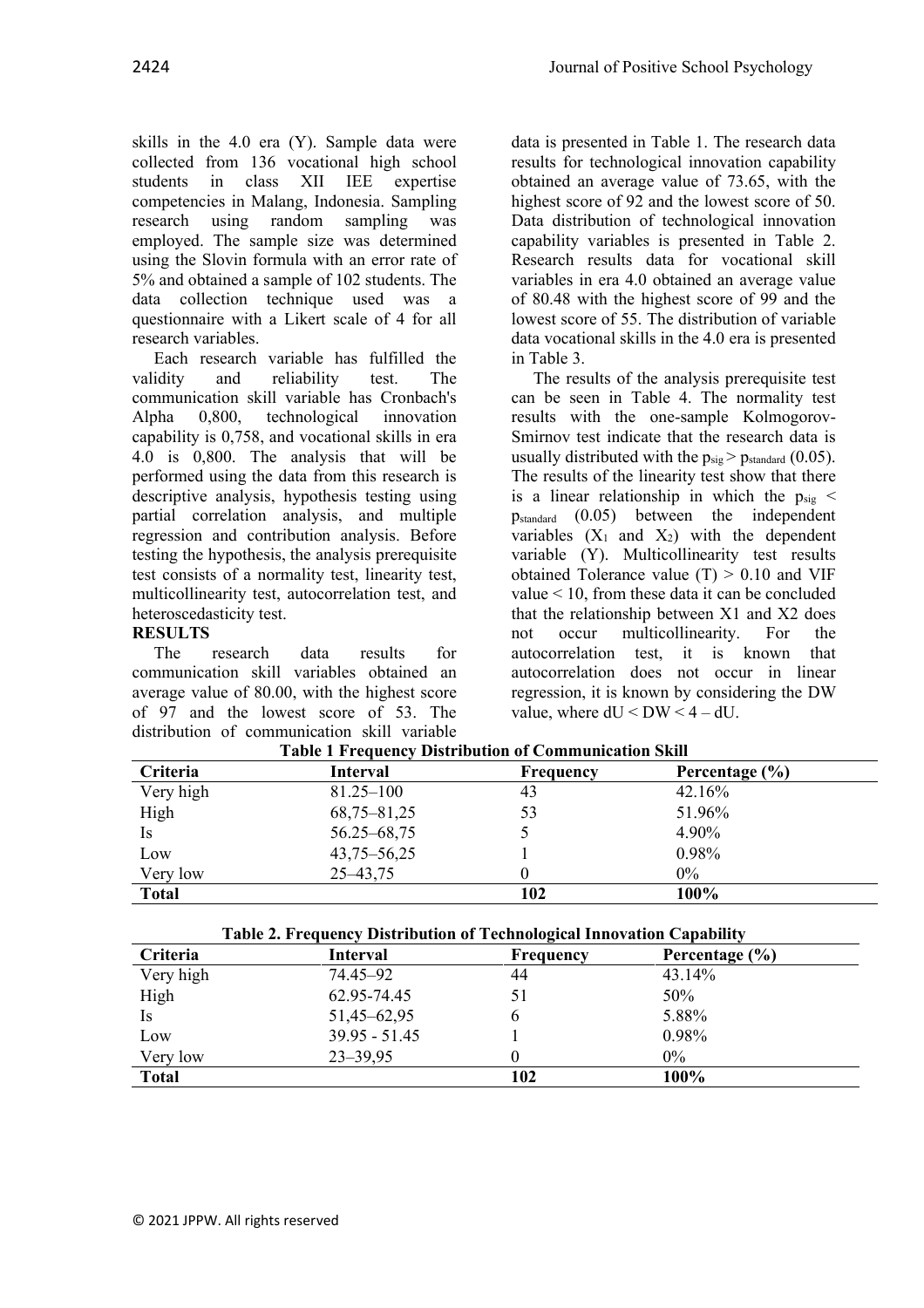skills in the 4.0 era (Y). Sample data were collected from 136 vocational high school students in class XII IEE expertise competencies in Malang, Indonesia. Sampling research using random sampling was employed. The sample size was determined using the Slovin formula with an error rate of 5% and obtained a sample of 102 students. The data collection technique used was a questionnaire with a Likert scale of 4 for all research variables.

Each research variable has fulfilled the validity and reliability test. The communication skill variable has Cronbach's Alpha 0,800, technological innovation capability is 0,758, and vocational skills in era 4.0 is 0,800. The analysis that will be performed using the data from this research is descriptive analysis, hypothesis testing using partial correlation analysis, and multiple regression and contribution analysis. Before testing the hypothesis, the analysis prerequisite test consists of a normality test, linearity test, multicollinearity test, autocorrelation test, and heteroscedasticity test.

### **RESULTS**

The research data results for communication skill variables obtained an average value of 80.00, with the highest score of 97 and the lowest score of 53. The distribution of communication skill variable data is presented in Table 1. The research data results for technological innovation capability obtained an average value of 73.65, with the highest score of 92 and the lowest score of 50. Data distribution of technological innovation capability variables is presented in Table 2. Research results data for vocational skill variables in era 4.0 obtained an average value of 80.48 with the highest score of 99 and the lowest score of 55. The distribution of variable data vocational skills in the 4.0 era is presented in Table 3.

The results of the analysis prerequisite test can be seen in Table 4. The normality test results with the one-sample Kolmogorov-Smirnov test indicate that the research data is usually distributed with the  $p_{sig} > p_{standard}$  (0.05). The results of the linearity test show that there is a linear relationship in which the  $p_{\text{sig}}$  < pstandard (0.05) between the independent variables  $(X_1$  and  $X_2)$  with the dependent variable (Y). Multicollinearity test results obtained Tolerance value  $(T) > 0.10$  and VIF value < 10, from these data it can be concluded that the relationship between X1 and X2 does not occur multicollinearity. For the autocorrelation test, it is known that autocorrelation does not occur in linear regression, it is known by considering the DW value, where  $dU < DW < 4 - dU$ .

| Criteria     | <b>Interval</b> | <b>Frequency</b> | Percentage (%) |
|--------------|-----------------|------------------|----------------|
| Very high    | $81.25 - 100$   | 43               | 42.16%         |
| High         | $68,75 - 81,25$ | 53               | 51.96%         |
| Is.          | $56.25 - 68.75$ |                  | 4.90%          |
| Low          | $43,75 - 56,25$ |                  | 0.98%          |
| Very low     | $25 - 43, 75$   |                  | $0\%$          |
| <b>Total</b> |                 | 102              | 100%           |

**Table 1 Frequency Distribution of Communication Skill**

| Table 2. Frequency Distribution of Technological Innovation Capability |                 |                  |                    |  |
|------------------------------------------------------------------------|-----------------|------------------|--------------------|--|
| Criteria                                                               | <b>Interval</b> | <b>Frequency</b> | Percentage $(\% )$ |  |
| Very high                                                              | 74.45–92        | 44               | 43.14%             |  |
| High                                                                   | 62.95-74.45     | 51               | 50%                |  |
| Is                                                                     | 51,45–62,95     | b                | 5.88%              |  |
| Low                                                                    | $39.95 - 51.45$ |                  | 0.98%              |  |
| Very low                                                               | $23 - 39,95$    |                  | $0\%$              |  |
| <b>Total</b>                                                           |                 | 102              | 100%               |  |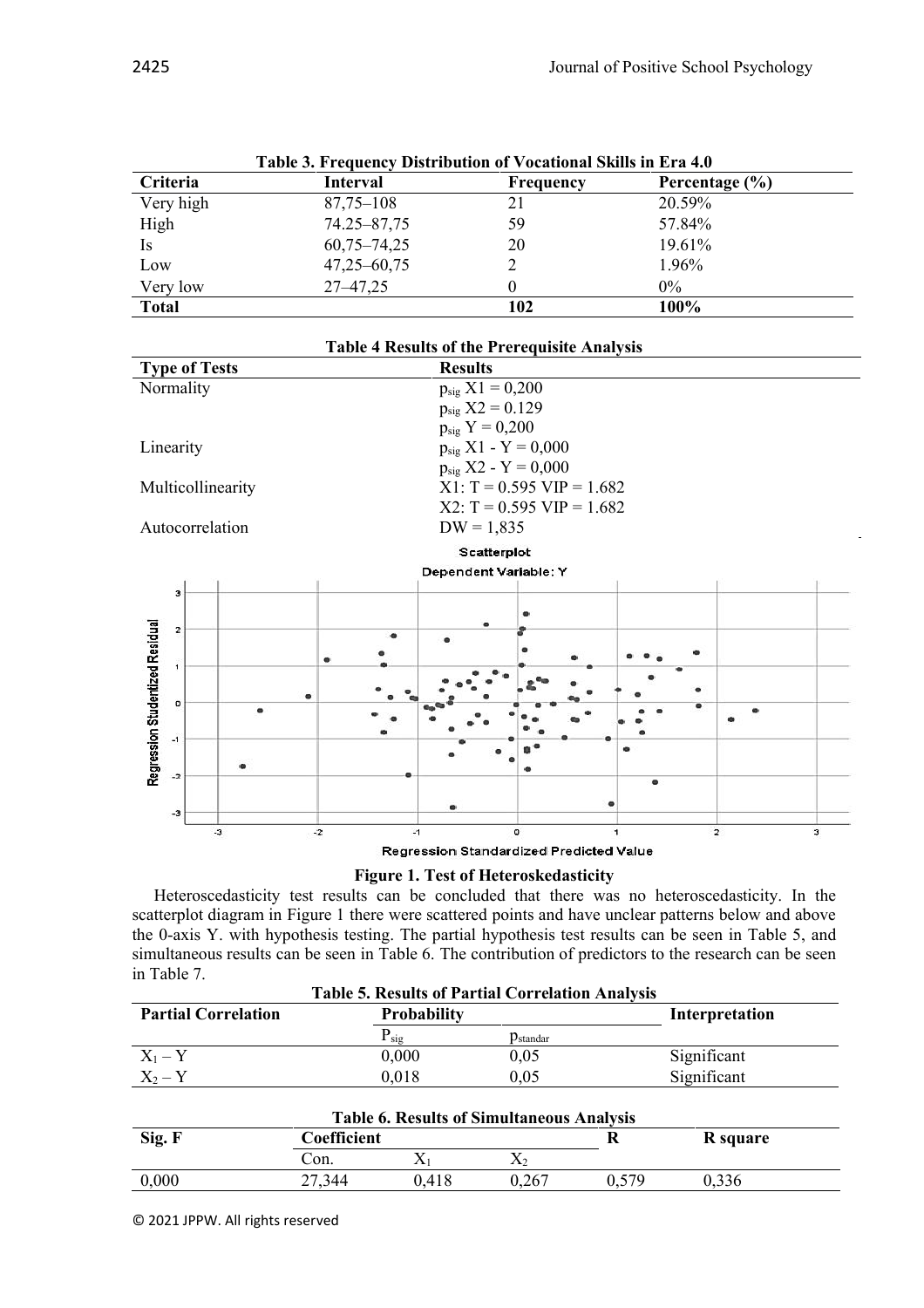| Table 3. Frequency Distribution of Vocational Skills in Era 4.0 |                 |           |                    |  |
|-----------------------------------------------------------------|-----------------|-----------|--------------------|--|
| Criteria                                                        | <b>Interval</b> | Frequency | Percentage $(\% )$ |  |
| Very high                                                       | $87,75 - 108$   | 21        | 20.59%             |  |
| High                                                            | 74.25-87,75     | 59        | 57.84%             |  |
| <b>Is</b>                                                       | $60,75 - 74,25$ | 20        | 19.61%             |  |
| Low                                                             | $47,25 - 60,75$ |           | 1.96%              |  |
| Very low                                                        | $27 - 47,25$    |           | $0\%$              |  |
| <b>Total</b>                                                    |                 | 102       | 100%               |  |

**Table 3. Frequency Distribution of Vocational Skills in Era 4.0**



**Figure 1. Test of Heteroskedasticity**

Heteroscedasticity test results can be concluded that there was no heteroscedasticity. In the scatterplot diagram in Figure 1 there were scattered points and have unclear patterns below and above the 0-axis Y. with hypothesis testing. The partial hypothesis test results can be seen in Table 5, and simultaneous results can be seen in Table 6. The contribution of predictors to the research can be seen in Table 7.

| <b>Table 5. Results of Partial Correlation Analysis</b> |                    |                       |                |  |
|---------------------------------------------------------|--------------------|-----------------------|----------------|--|
| <b>Partial Correlation</b>                              | <b>Probability</b> |                       | Interpretation |  |
|                                                         | $P_{sig}$          | $p_{\text{standard}}$ |                |  |
| $X_1 - Y$                                               | 0.000              | 0,05                  | Significant    |  |
| $X_2-Y$                                                 | 0.018              | 0,05                  | Significant    |  |

| <b>Table 6. Results of Simultaneous Analysis</b> |             |       |       |     |          |
|--------------------------------------------------|-------------|-------|-------|-----|----------|
| Sig. F                                           | Coefficient |       |       |     | R square |
|                                                  | Con.        |       |       |     |          |
| 0,000                                            | 27.344      | 0,418 | 0,267 | 570 | .336     |

© 2021 JPPW. All rights reserved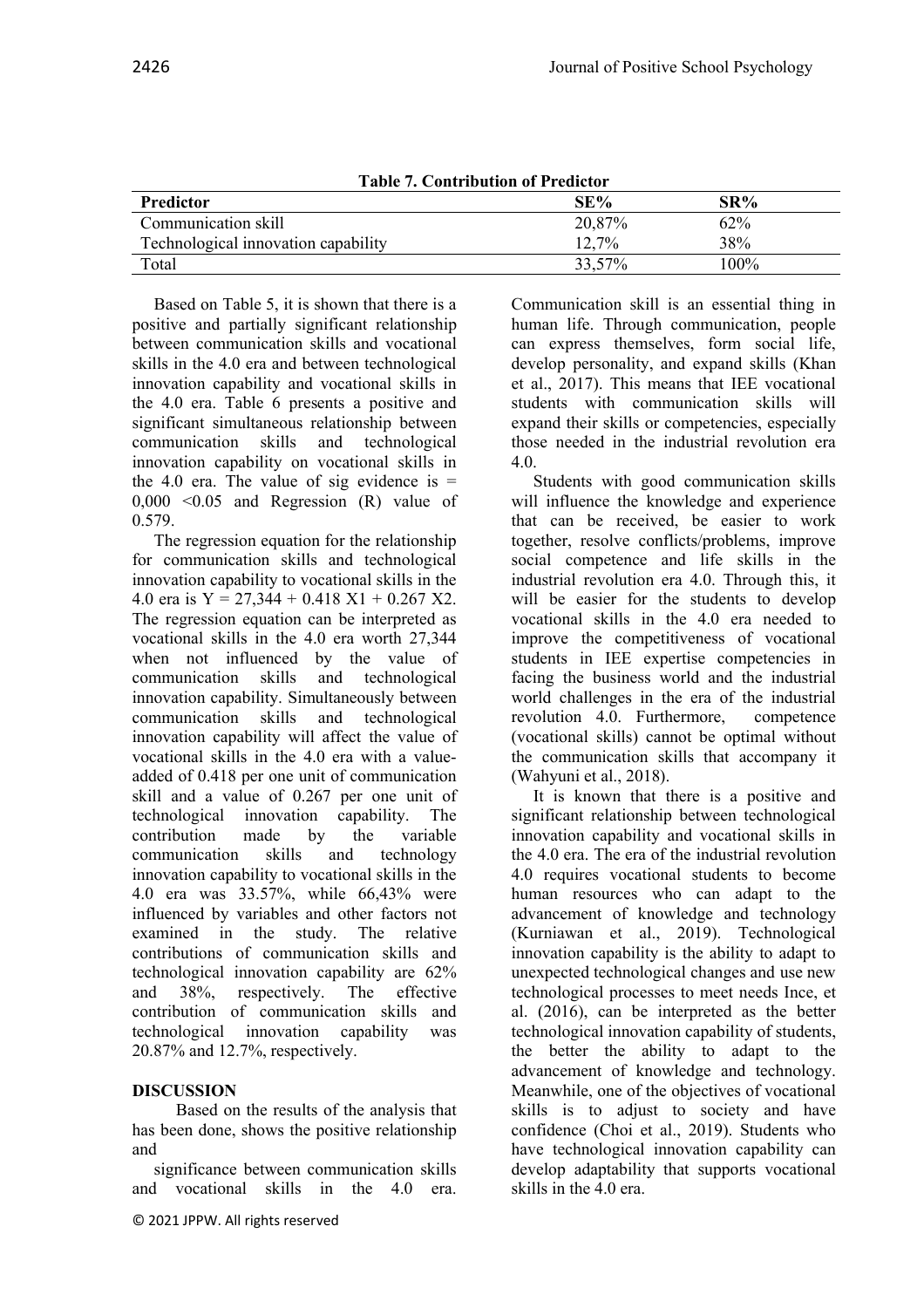| Table 7. Contribution of Predictor  |        |         |  |
|-------------------------------------|--------|---------|--|
| <b>Predictor</b>                    | SE%    | $SR\%$  |  |
| Communication skill                 | 20,87% | 62%     |  |
| Technological innovation capability | 12,7%  | 38%     |  |
| Total                               | 33,57% | $100\%$ |  |

**Table 7. Contribution of Predictor**

Based on Table 5, it is shown that there is a positive and partially significant relationship between communication skills and vocational skills in the 4.0 era and between technological innovation capability and vocational skills in the 4.0 era. Table 6 presents a positive and significant simultaneous relationship between communication skills and technological innovation capability on vocational skills in the 4.0 era. The value of sig evidence is  $=$ 0,000 <0.05 and Regression (R) value of 0.579.

The regression equation for the relationship for communication skills and technological innovation capability to vocational skills in the 4.0 era is  $Y = 27,344 + 0.418 \text{ X1} + 0.267 \text{ X2}$ . The regression equation can be interpreted as vocational skills in the 4.0 era worth 27,344 when not influenced by the value of communication skills and technological innovation capability. Simultaneously between communication skills and technological innovation capability will affect the value of vocational skills in the 4.0 era with a valueadded of 0.418 per one unit of communication skill and a value of 0.267 per one unit of technological innovation capability. The contribution made by the variable communication skills and technology innovation capability to vocational skills in the 4.0 era was 33.57%, while 66,43% were influenced by variables and other factors not examined in the study. The relative contributions of communication skills and technological innovation capability are 62% and 38%, respectively. The effective contribution of communication skills and technological innovation capability was 20.87% and 12.7%, respectively.

### **DISCUSSION**

Based on the results of the analysis that has been done, shows the positive relationship and

significance between communication skills and vocational skills in the 4.0 era.

Communication skill is an essential thing in human life. Through communication, people can express themselves, form social life, develop personality, and expand skills (Khan et al., 2017). This means that IEE vocational students with communication skills will expand their skills or competencies, especially those needed in the industrial revolution era 4.0.

Students with good communication skills will influence the knowledge and experience that can be received, be easier to work together, resolve conflicts/problems, improve social competence and life skills in the industrial revolution era 4.0. Through this, it will be easier for the students to develop vocational skills in the 4.0 era needed to improve the competitiveness of vocational students in IEE expertise competencies in facing the business world and the industrial world challenges in the era of the industrial revolution 4.0. Furthermore, competence (vocational skills) cannot be optimal without the communication skills that accompany it (Wahyuni et al., 2018).

It is known that there is a positive and significant relationship between technological innovation capability and vocational skills in the 4.0 era. The era of the industrial revolution 4.0 requires vocational students to become human resources who can adapt to the advancement of knowledge and technology (Kurniawan et al., 2019). Technological innovation capability is the ability to adapt to unexpected technological changes and use new technological processes to meet needs Ince, et al. (2016), can be interpreted as the better technological innovation capability of students, the better the ability to adapt to the advancement of knowledge and technology. Meanwhile, one of the objectives of vocational skills is to adjust to society and have confidence (Choi et al., 2019). Students who have technological innovation capability can develop adaptability that supports vocational skills in the 4.0 era.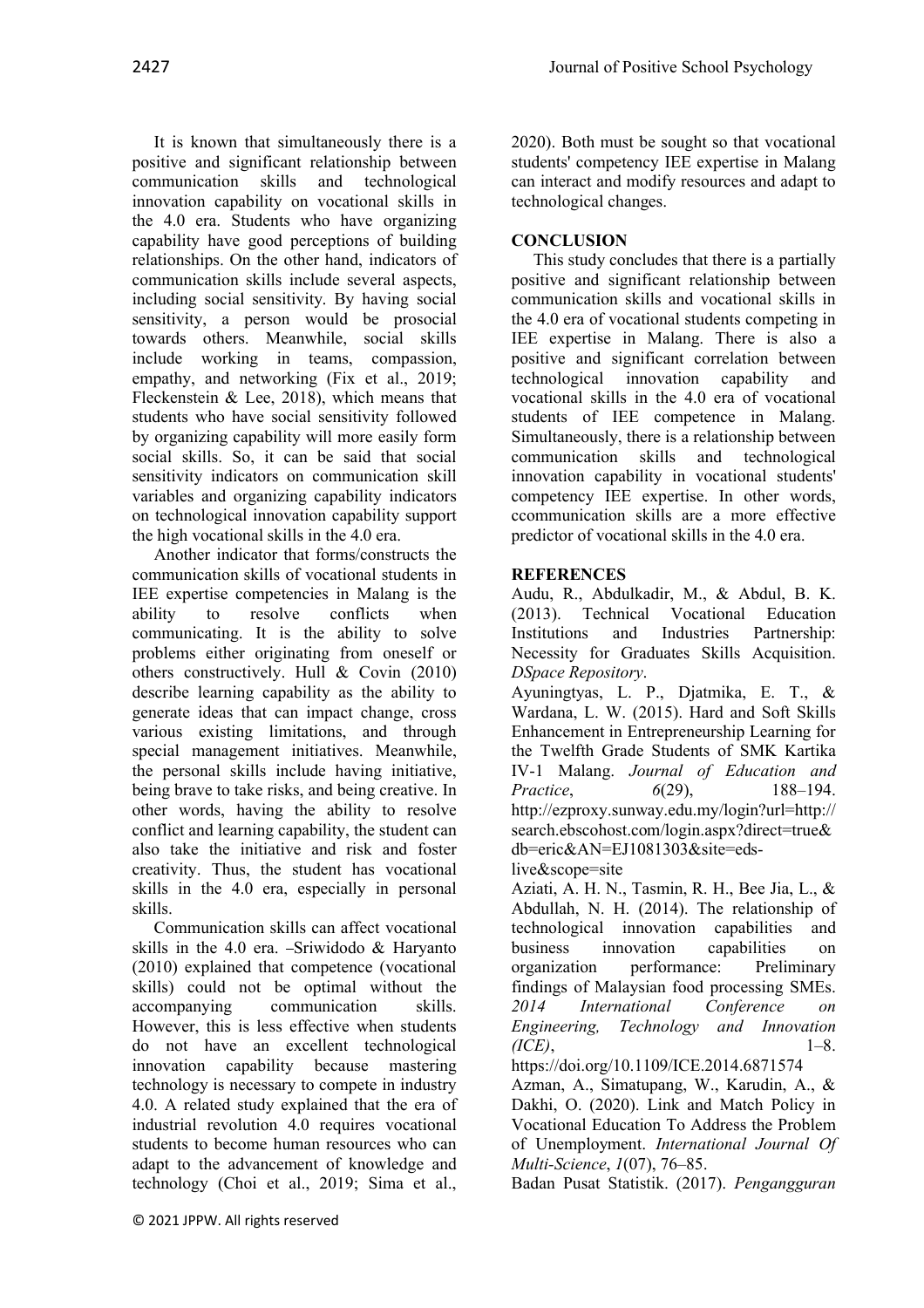It is known that simultaneously there is a positive and significant relationship between communication skills and technological innovation capability on vocational skills in the 4.0 era. Students who have organizing capability have good perceptions of building relationships. On the other hand, indicators of communication skills include several aspects, including social sensitivity. By having social sensitivity, a person would be prosocial towards others. Meanwhile, social skills include working in teams, compassion, empathy, and networking (Fix et al., 2019; Fleckenstein & Lee, 2018), which means that students who have social sensitivity followed by organizing capability will more easily form social skills. So, it can be said that social sensitivity indicators on communication skill variables and organizing capability indicators on technological innovation capability support the high vocational skills in the 4.0 era.

Another indicator that forms/constructs the communication skills of vocational students in IEE expertise competencies in Malang is the ability to resolve conflicts when communicating. It is the ability to solve problems either originating from oneself or others constructively. Hull & Covin (2010) describe learning capability as the ability to generate ideas that can impact change, cross various existing limitations, and through special management initiatives. Meanwhile, the personal skills include having initiative, being brave to take risks, and being creative. In other words, having the ability to resolve conflict and learning capability, the student can also take the initiative and risk and foster creativity. Thus, the student has vocational skills in the 4.0 era, especially in personal skills.

Communication skills can affect vocational skills in the 4.0 era. - Sriwidodo  $&$  Haryanto (2010) explained that competence (vocational skills) could not be optimal without the accompanying communication skills. However, this is less effective when students do not have an excellent technological innovation capability because mastering technology is necessary to compete in industry 4.0. A related study explained that the era of industrial revolution 4.0 requires vocational students to become human resources who can adapt to the advancement of knowledge and technology (Choi et al., 2019; Sima et al.,

## **CONCLUSION**

This study concludes that there is a partially positive and significant relationship between communication skills and vocational skills in the 4.0 era of vocational students competing in IEE expertise in Malang. There is also a positive and significant correlation between<br>technological innovation capability and technological innovation capability and vocational skills in the 4.0 era of vocational students of IEE competence in Malang. Simultaneously, there is a relationship between communication skills and technological innovation capability in vocational students' competency IEE expertise. In other words, ccommunication skills are a more effective predictor of vocational skills in the 4.0 era.

## **REFERENCES**

Audu, R., Abdulkadir, M., & Abdul, B. K. (2013). Technical Vocational Education Institutions and Industries Partnership: Necessity for Graduates Skills Acquisition. *DSpace Repository*.

Ayuningtyas, L. P., Djatmika, E. T., & Wardana, L. W. (2015). Hard and Soft Skills Enhancement in Entrepreneurship Learning for the Twelfth Grade Students of SMK Kartika IV-1 Malang. *Journal of Education and Practice*, *6*(29), 188–194. http://ezproxy.sunway.edu.my/login?url=http:// search.ebscohost.com/login.aspx?direct=true& db=eric&AN=EJ1081303&site=edslive&scope=site

Aziati, A. H. N., Tasmin, R. H., Bee Jia, L., & Abdullah, N. H. (2014). The relationship of technological innovation capabilities and business innovation capabilities on organization performance: Preliminary findings of Malaysian food processing SMEs. *2014 International Conference on Engineering, Technology and Innovation (ICE)*, 1–8.

https://doi.org/10.1109/ICE.2014.6871574

Azman, A., Simatupang, W., Karudin, A., & Dakhi, O. (2020). Link and Match Policy in Vocational Education To Address the Problem of Unemployment. *International Journal Of Multi-Science*, *1*(07), 76–85.

Badan Pusat Statistik. (2017). *Pengangguran*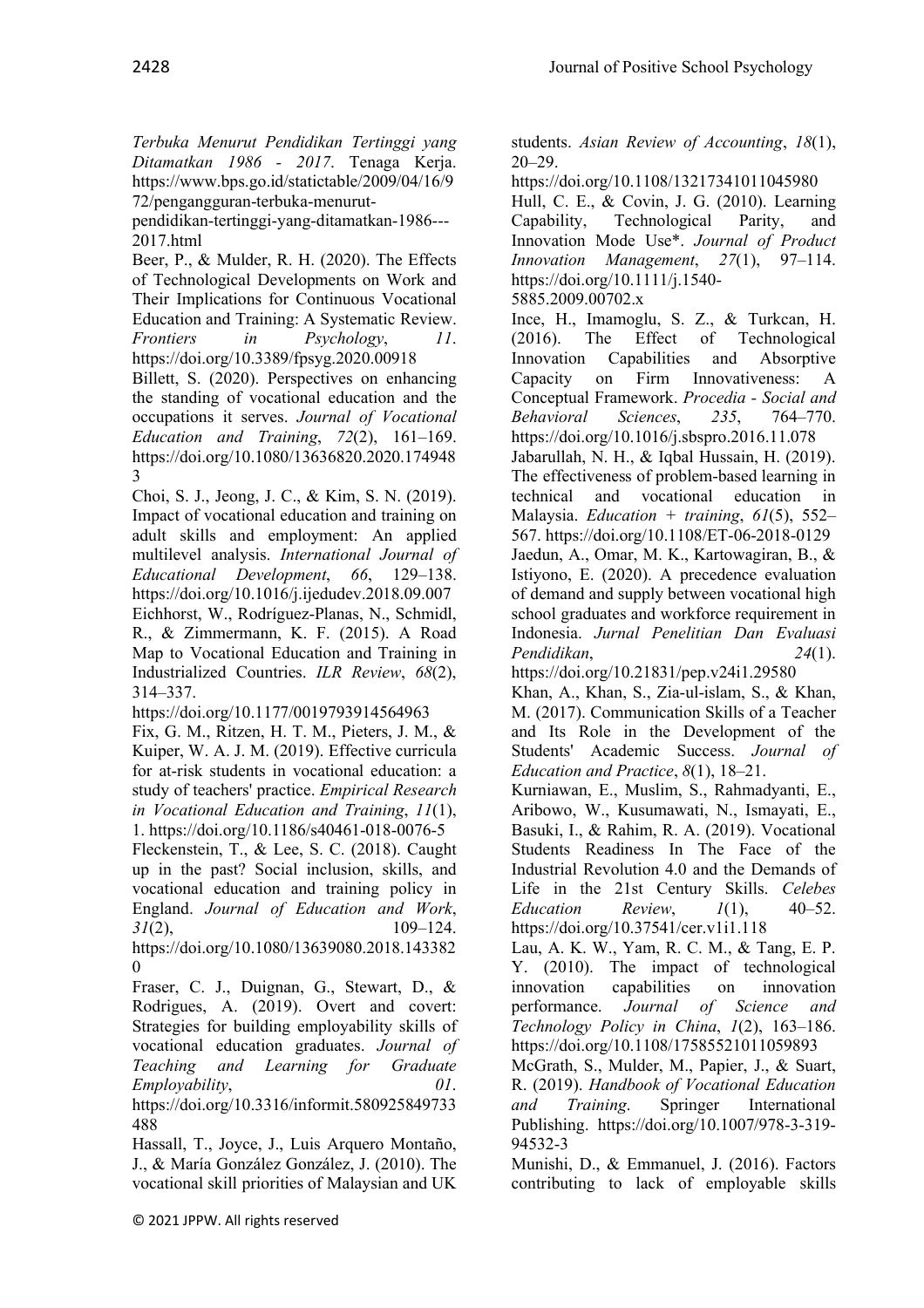*Terbuka Menurut Pendidikan Tertinggi yang Ditamatkan 1986 - 2017*. Tenaga Kerja. https://www.bps.go.id/statictable/2009/04/16/9 72/pengangguran-terbuka-menurut-

pendidikan-tertinggi-yang-ditamatkan-1986--- 2017.html

Beer, P., & Mulder, R. H. (2020). The Effects of Technological Developments on Work and Their Implications for Continuous Vocational Education and Training: A Systematic Review. *Frontiers in Psychology*, *11*. https://doi.org/10.3389/fpsyg.2020.00918

Billett, S. (2020). Perspectives on enhancing the standing of vocational education and the occupations it serves. *Journal of Vocational Education and Training*, *72*(2), 161–169. https://doi.org/10.1080/13636820.2020.174948 3

Choi, S. J., Jeong, J. C., & Kim, S. N. (2019). Impact of vocational education and training on adult skills and employment: An applied multilevel analysis. *International Journal of Educational Development*, *66*, 129–138. https://doi.org/10.1016/j.ijedudev.2018.09.007 Eichhorst, W., Rodríguez-Planas, N., Schmidl, R., & Zimmermann, K. F. (2015). A Road Map to Vocational Education and Training in Industrialized Countries. *ILR Review*, *68*(2), 314–337.

https://doi.org/10.1177/0019793914564963

Fix, G. M., Ritzen, H. T. M., Pieters, J. M., & Kuiper, W. A. J. M. (2019). Effective curricula for at-risk students in vocational education: a study of teachers' practice. *Empirical Research in Vocational Education and Training*, *11*(1), 1. https://doi.org/10.1186/s40461-018-0076-5

Fleckenstein, T., & Lee, S. C. (2018). Caught up in the past? Social inclusion, skills, and vocational education and training policy in England. *Journal of Education and Work*, *31*(2), 109–124.

https://doi.org/10.1080/13639080.2018.143382  $\Omega$ 

Fraser, C. J., Duignan, G., Stewart, D., & Rodrigues, A. (2019). Overt and covert: Strategies for building employability skills of vocational education graduates. *Journal of Teaching and Learning for Graduate Employability*, *01*.

https://doi.org/10.3316/informit.580925849733 488

Hassall, T., Joyce, J., Luis Arquero Montaño, J., & María González González, J. (2010). The vocational skill priorities of Malaysian and UK students. *Asian Review of Accounting*, *18*(1), 20–29.

https://doi.org/10.1108/13217341011045980

Hull, C. E., & Covin, J. G. (2010). Learning Capability, Technological Parity, and Innovation Mode Use\*. *Journal of Product Innovation Management*, *27*(1), 97–114. https://doi.org/10.1111/j.1540- 5885.2009.00702.x

Ince, H., Imamoglu, S. Z., & Turkcan, H. (2016). The Effect of Technological Innovation Capabilities and Absorptive Capacity on Firm Innovativeness: A Conceptual Framework. *Procedia - Social and Behavioral Sciences*, *235*, 764–770. https://doi.org/10.1016/j.sbspro.2016.11.078

Jabarullah, N. H., & Iqbal Hussain, H. (2019). The effectiveness of problem-based learning in technical and vocational education in Malaysia. *Education + training*, *61*(5), 552– 567. https://doi.org/10.1108/ET-06-2018-0129 Jaedun, A., Omar, M. K., Kartowagiran, B., & Istiyono, E. (2020). A precedence evaluation of demand and supply between vocational high school graduates and workforce requirement in Indonesia. *Jurnal Penelitian Dan Evaluasi Pendidikan*, *24*(1).

https://doi.org/10.21831/pep.v24i1.29580 Khan, A., Khan, S., Zia-ul-islam, S., & Khan, M. (2017). Communication Skills of a Teacher and Its Role in the Development of the Students' Academic Success. *Journal of* 

*Education and Practice*, *8*(1), 18–21.

Kurniawan, E., Muslim, S., Rahmadyanti, E., Aribowo, W., Kusumawati, N., Ismayati, E., Basuki, I., & Rahim, R. A. (2019). Vocational Students Readiness In The Face of the Industrial Revolution 4.0 and the Demands of Life in the 21st Century Skills. *Celebes Education Review*, *1*(1), 40–52. https://doi.org/10.37541/cer.v1i1.118

Lau, A. K. W., Yam, R. C. M., & Tang, E. P. Y. (2010). The impact of technological innovation capabilities on innovation performance. *Journal of Science and Technology Policy in China*, *1*(2), 163–186. https://doi.org/10.1108/17585521011059893

McGrath, S., Mulder, M., Papier, J., & Suart, R. (2019). *Handbook of Vocational Education and Training*. Springer International Publishing. https://doi.org/10.1007/978-3-319- 94532-3

Munishi, D., & Emmanuel, J. (2016). Factors contributing to lack of employable skills